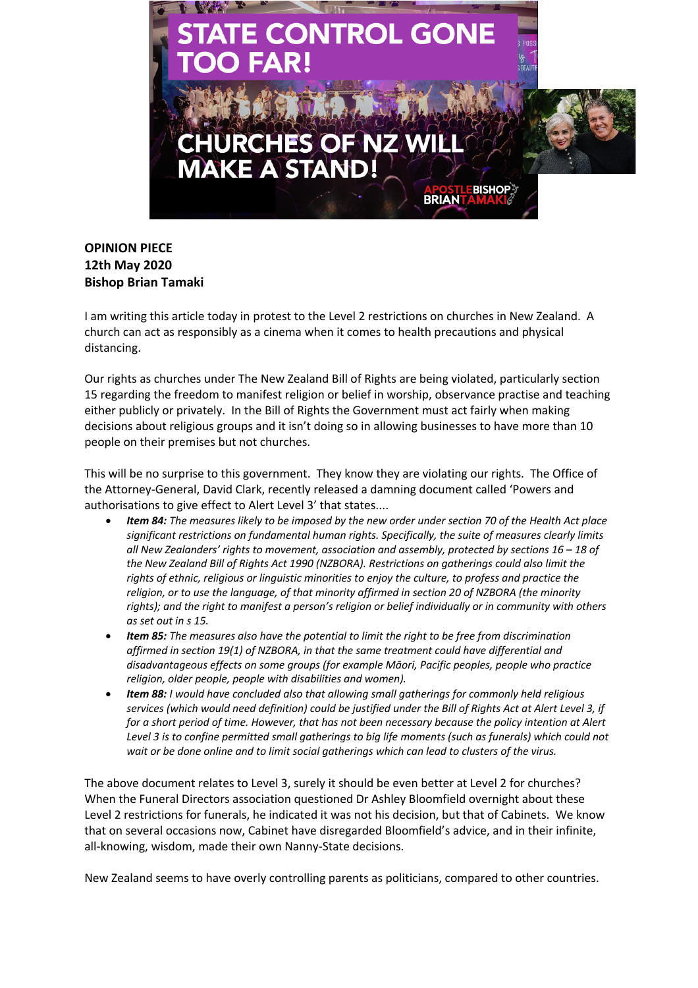

## **OPINION PIECE 12th May 2020 Bishop Brian Tamaki**

I am writing this article today in protest to the Level 2 restrictions on churches in New Zealand. A church can act as responsibly as a cinema when it comes to health precautions and physical distancing.

Our rights as churches under The New Zealand Bill of Rights are being violated, particularly section 15 regarding the freedom to manifest religion or belief in worship, observance practise and teaching either publicly or privately. In the Bill of Rights the Government must act fairly when making decisions about religious groups and it isn't doing so in allowing businesses to have more than 10 people on their premises but not churches.

This will be no surprise to this government. They know they are violating our rights. The Office of the Attorney-General, David Clark, recently released a damning document called 'Powers and authorisations to give effect to Alert Level 3' that states....

- *Item 84: The measures likely to be imposed by the new order under section 70 of the Health Act place significant restrictions on fundamental human rights. Specifically, the suite of measures clearly limits all New Zealanders' rights to movement, association and assembly, protected by sections 16 – 18 of the New Zealand Bill of Rights Act 1990 (NZBORA). Restrictions on gatherings could also limit the rights of ethnic, religious or linguistic minorities to enjoy the culture, to profess and practice the religion, or to use the language, of that minority affirmed in section 20 of NZBORA (the minority rights); and the right to manifest a person's religion or belief individually or in community with others as set out in s 15.*
- *Item 85: The measures also have the potential to limit the right to be free from discrimination affirmed in section 19(1) of NZBORA, in that the same treatment could have differential and disadvantageous effects on some groups (for example Māori, Pacific peoples, people who practice religion, older people, people with disabilities and women).*
- *Item 88: I would have concluded also that allowing small gatherings for commonly held religious services (which would need definition) could be justified under the Bill of Rights Act at Alert Level 3, if for a short period of time. However, that has not been necessary because the policy intention at Alert Level 3 is to confine permitted small gatherings to big life moments (such as funerals) which could not wait or be done online and to limit social gatherings which can lead to clusters of the virus.*

The above document relates to Level 3, surely it should be even better at Level 2 for churches? When the Funeral Directors association questioned Dr Ashley Bloomfield overnight about these Level 2 restrictions for funerals, he indicated it was not his decision, but that of Cabinets. We know that on several occasions now, Cabinet have disregarded Bloomfield's advice, and in their infinite, all-knowing, wisdom, made their own Nanny-State decisions.

New Zealand seems to have overly controlling parents as politicians, compared to other countries.